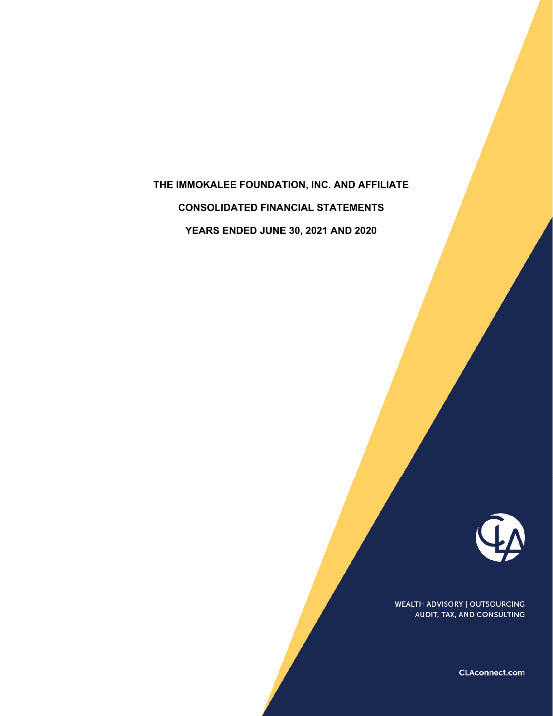

**WEALTH ADVISORY | OUTSOURCING** AUDIT, TAX, AND CONSULTING

CLAconnect.com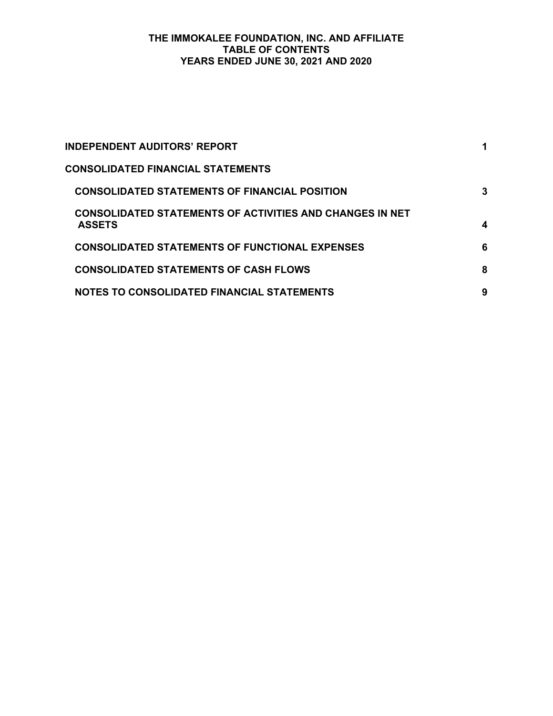## **THE IMMOKALEE FOUNDATION, INC. AND AFFILIATE TABLE OF CONTENTS YEARS ENDED JUNE 30, 2021 AND 2020**

| INDEPENDENT AUDITORS' REPORT                                                     | 1 |
|----------------------------------------------------------------------------------|---|
| CONSOLIDATED FINANCIAL STATEMENTS                                                |   |
| <b>CONSOLIDATED STATEMENTS OF FINANCIAL POSITION</b>                             | 3 |
| <b>CONSOLIDATED STATEMENTS OF ACTIVITIES AND CHANGES IN NET</b><br><b>ASSETS</b> | 4 |
| <b>CONSOLIDATED STATEMENTS OF FUNCTIONAL EXPENSES</b>                            | 6 |
| <b>CONSOLIDATED STATEMENTS OF CASH FLOWS</b>                                     | 8 |
| NOTES TO CONSOLIDATED FINANCIAL STATEMENTS                                       | 9 |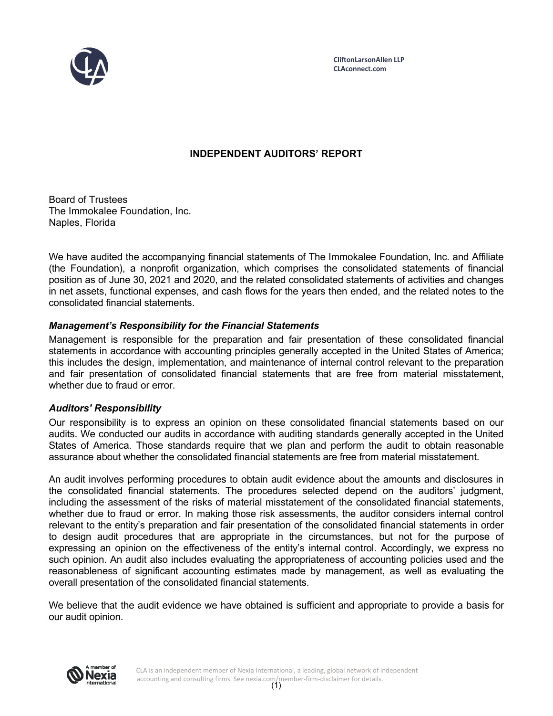

**CliftonLarsonAllen LLP CLAconnect.com**

# **INDEPENDENT AUDITORS' REPORT**

Board of Trustees The Immokalee Foundation, Inc. Naples, Florida

We have audited the accompanying financial statements of The Immokalee Foundation, Inc. and Affiliate (the Foundation), a nonprofit organization, which comprises the consolidated statements of financial position as of June 30, 2021 and 2020, and the related consolidated statements of activities and changes in net assets, functional expenses, and cash flows for the years then ended, and the related notes to the consolidated financial statements.

# *Management's Responsibility for the Financial Statements*

Management is responsible for the preparation and fair presentation of these consolidated financial statements in accordance with accounting principles generally accepted in the United States of America; this includes the design, implementation, and maintenance of internal control relevant to the preparation and fair presentation of consolidated financial statements that are free from material misstatement, whether due to fraud or error.

# *Auditors' Responsibility*

Our responsibility is to express an opinion on these consolidated financial statements based on our audits. We conducted our audits in accordance with auditing standards generally accepted in the United States of America. Those standards require that we plan and perform the audit to obtain reasonable assurance about whether the consolidated financial statements are free from material misstatement.

An audit involves performing procedures to obtain audit evidence about the amounts and disclosures in the consolidated financial statements. The procedures selected depend on the auditors' judgment, including the assessment of the risks of material misstatement of the consolidated financial statements, whether due to fraud or error. In making those risk assessments, the auditor considers internal control relevant to the entity's preparation and fair presentation of the consolidated financial statements in order to design audit procedures that are appropriate in the circumstances, but not for the purpose of expressing an opinion on the effectiveness of the entity's internal control. Accordingly, we express no such opinion. An audit also includes evaluating the appropriateness of accounting policies used and the reasonableness of significant accounting estimates made by management, as well as evaluating the overall presentation of the consolidated financial statements.

We believe that the audit evidence we have obtained is sufficient and appropriate to provide a basis for our audit opinion.

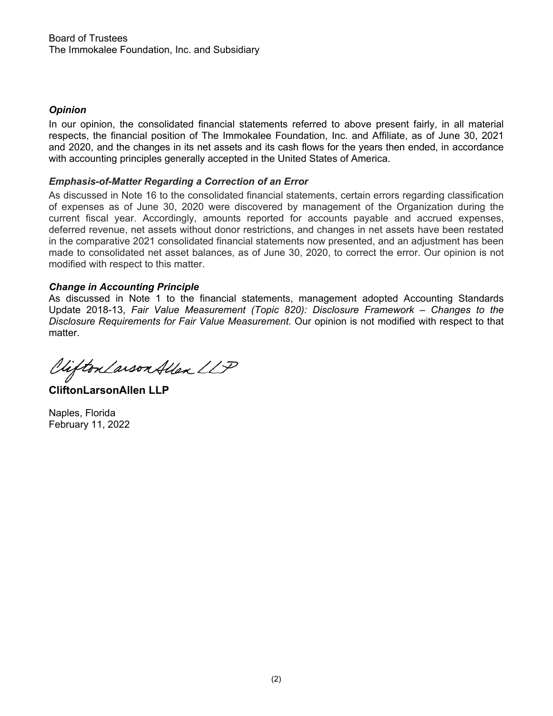# *Opinion*

In our opinion, the consolidated financial statements referred to above present fairly, in all material respects, the financial position of The Immokalee Foundation, Inc. and Affiliate, as of June 30, 2021 and 2020, and the changes in its net assets and its cash flows for the years then ended, in accordance with accounting principles generally accepted in the United States of America.

# *Emphasis-of-Matter Regarding a Correction of an Error*

As discussed in Note 16 to the consolidated financial statements, certain errors regarding classification of expenses as of June 30, 2020 were discovered by management of the Organization during the current fiscal year. Accordingly, amounts reported for accounts payable and accrued expenses, deferred revenue, net assets without donor restrictions, and changes in net assets have been restated in the comparative 2021 consolidated financial statements now presented, and an adjustment has been made to consolidated net asset balances, as of June 30, 2020, to correct the error. Our opinion is not modified with respect to this matter.

# *Change in Accounting Principle*

As discussed in Note 1 to the financial statements, management adopted Accounting Standards Update 2018-13, *Fair Value Measurement (Topic 820): Disclosure Framework – Changes to the Disclosure Requirements for Fair Value Measurement.* Our opinion is not modified with respect to that matter.

Vifton Larson Allen LLP

**CliftonLarsonAllen LLP** 

Naples, Florida February 11, 2022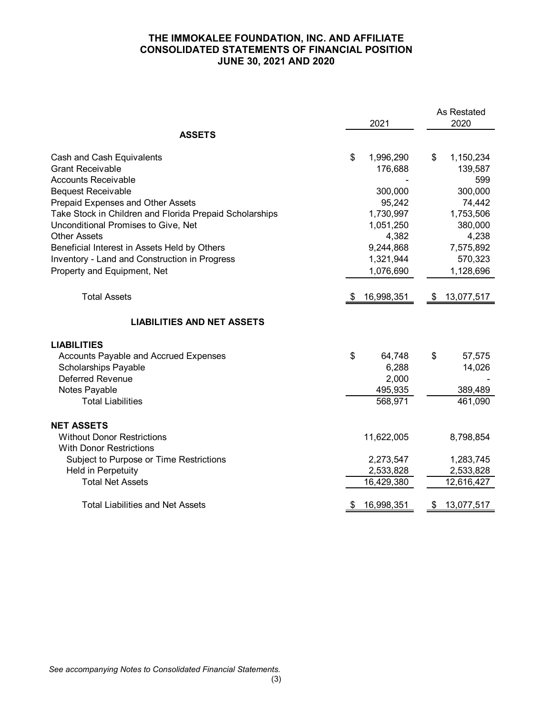# **THE IMMOKALEE FOUNDATION, INC. AND AFFILIATE CONSOLIDATED STATEMENTS OF FINANCIAL POSITION JUNE 30, 2021 AND 2020**

|                                                         | 2021            | As Restated<br>2020 |
|---------------------------------------------------------|-----------------|---------------------|
| <b>ASSETS</b>                                           |                 |                     |
| Cash and Cash Equivalents                               | \$<br>1,996,290 | \$<br>1,150,234     |
| <b>Grant Receivable</b>                                 | 176,688         | 139,587             |
| <b>Accounts Receivable</b>                              |                 | 599                 |
| <b>Bequest Receivable</b>                               | 300,000         | 300,000             |
| Prepaid Expenses and Other Assets                       | 95,242          | 74,442              |
| Take Stock in Children and Florida Prepaid Scholarships | 1,730,997       | 1,753,506           |
| Unconditional Promises to Give, Net                     | 1,051,250       | 380,000             |
| <b>Other Assets</b>                                     | 4,382           | 4,238               |
| Beneficial Interest in Assets Held by Others            | 9,244,868       | 7,575,892           |
| Inventory - Land and Construction in Progress           | 1,321,944       | 570,323             |
| Property and Equipment, Net                             | 1,076,690       | 1,128,696           |
| <b>Total Assets</b>                                     | 16,998,351      | \$<br>13,077,517    |
| <b>LIABILITIES AND NET ASSETS</b>                       |                 |                     |
| <b>LIABILITIES</b>                                      |                 |                     |
| Accounts Payable and Accrued Expenses                   | \$<br>64,748    | \$<br>57,575        |
| <b>Scholarships Payable</b>                             | 6,288           | 14,026              |
| Deferred Revenue                                        | 2,000           |                     |
| Notes Payable                                           | 495,935         | 389,489             |
| <b>Total Liabilities</b>                                | 568,971         | 461,090             |
| <b>NET ASSETS</b>                                       |                 |                     |
| <b>Without Donor Restrictions</b>                       | 11,622,005      | 8,798,854           |
| <b>With Donor Restrictions</b>                          |                 |                     |
| Subject to Purpose or Time Restrictions                 | 2,273,547       | 1,283,745           |
| <b>Held in Perpetuity</b>                               | 2,533,828       | 2,533,828           |
| <b>Total Net Assets</b>                                 | 16,429,380      | 12,616,427          |
| <b>Total Liabilities and Net Assets</b>                 | 16,998,351      | \$<br>13,077,517    |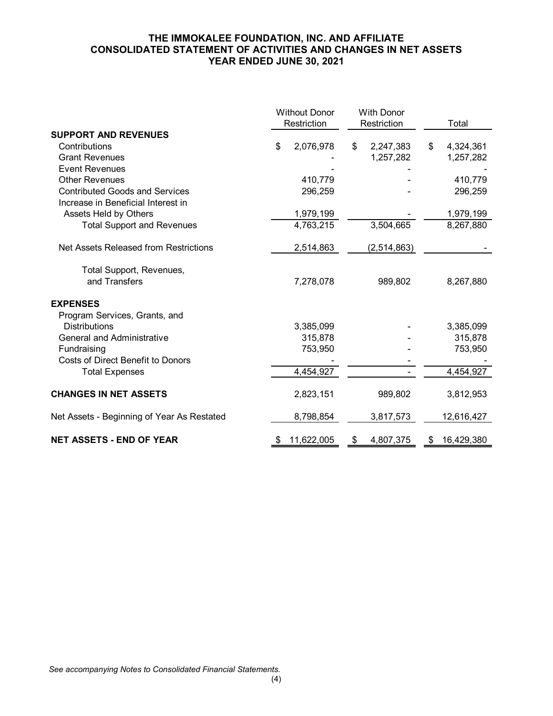## **THE IMMOKALEE FOUNDATION, INC. AND AFFILIATE CONSOLIDATED STATEMENT OF ACTIVITIES AND CHANGES IN NET ASSETS YEAR ENDED JUNE 30, 2021**

|                                            |    | <b>Without Donor</b>       | <b>With Donor</b> |             |    |            |  |       |
|--------------------------------------------|----|----------------------------|-------------------|-------------|----|------------|--|-------|
|                                            |    | Restriction<br>Restriction |                   |             |    |            |  | Total |
| <b>SUPPORT AND REVENUES</b>                |    |                            |                   |             |    |            |  |       |
| Contributions                              | \$ | 2,076,978                  | \$                | 2,247,383   | \$ | 4,324,361  |  |       |
| <b>Grant Revenues</b>                      |    |                            |                   | 1,257,282   |    | 1,257,282  |  |       |
| <b>Event Revenues</b>                      |    |                            |                   |             |    |            |  |       |
| <b>Other Revenues</b>                      |    | 410,779                    |                   |             |    | 410,779    |  |       |
| <b>Contributed Goods and Services</b>      |    | 296,259                    |                   |             |    | 296,259    |  |       |
| Increase in Beneficial Interest in         |    |                            |                   |             |    |            |  |       |
| Assets Held by Others                      |    | 1,979,199                  |                   |             |    | 1,979,199  |  |       |
| <b>Total Support and Revenues</b>          |    | 4,763,215                  |                   | 3,504,665   |    | 8,267,880  |  |       |
| Net Assets Released from Restrictions      |    | 2,514,863                  |                   | (2,514,863) |    |            |  |       |
| Total Support, Revenues,                   |    |                            |                   |             |    |            |  |       |
| and Transfers                              |    | 7,278,078                  |                   | 989,802     |    | 8,267,880  |  |       |
| <b>EXPENSES</b>                            |    |                            |                   |             |    |            |  |       |
| Program Services, Grants, and              |    |                            |                   |             |    |            |  |       |
| <b>Distributions</b>                       |    | 3,385,099                  |                   |             |    | 3,385,099  |  |       |
| <b>General and Administrative</b>          |    | 315,878                    |                   |             |    | 315,878    |  |       |
| Fundraising                                |    | 753,950                    |                   |             |    | 753,950    |  |       |
| Costs of Direct Benefit to Donors          |    |                            |                   |             |    |            |  |       |
| <b>Total Expenses</b>                      |    | 4,454,927                  |                   |             |    | 4,454,927  |  |       |
| <b>CHANGES IN NET ASSETS</b>               |    | 2,823,151                  |                   | 989,802     |    | 3,812,953  |  |       |
| Net Assets - Beginning of Year As Restated |    | 8,798,854                  |                   | 3,817,573   |    | 12,616,427 |  |       |
| <b>NET ASSETS - END OF YEAR</b>            | \$ | 11,622,005                 | \$                | 4,807,375   | \$ | 16,429,380 |  |       |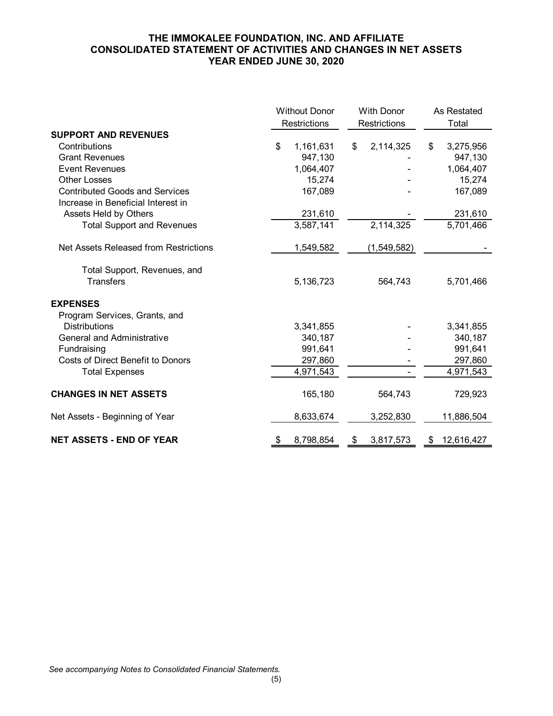## **THE IMMOKALEE FOUNDATION, INC. AND AFFILIATE CONSOLIDATED STATEMENT OF ACTIVITIES AND CHANGES IN NET ASSETS YEAR ENDED JUNE 30, 2020**

|                                          | <b>Without Donor</b> | <b>With Donor</b> |              | As Restated |            |
|------------------------------------------|----------------------|-------------------|--------------|-------------|------------|
|                                          | Restrictions         |                   | Restrictions |             | Total      |
| <b>SUPPORT AND REVENUES</b>              |                      |                   |              |             |            |
| Contributions                            | \$<br>1,161,631      | \$                | 2,114,325    | \$          | 3,275,956  |
| <b>Grant Revenues</b>                    | 947,130              |                   |              |             | 947,130    |
| <b>Event Revenues</b>                    | 1,064,407            |                   |              |             | 1,064,407  |
| <b>Other Losses</b>                      | 15,274               |                   |              |             | 15,274     |
| <b>Contributed Goods and Services</b>    | 167,089              |                   |              |             | 167,089    |
| Increase in Beneficial Interest in       |                      |                   |              |             |            |
| Assets Held by Others                    | 231,610              |                   |              |             | 231,610    |
| <b>Total Support and Revenues</b>        | 3,587,141            |                   | 2,114,325    |             | 5,701,466  |
| Net Assets Released from Restrictions    | 1,549,582            |                   | (1,549,582)  |             |            |
| Total Support, Revenues, and             |                      |                   |              |             |            |
| <b>Transfers</b>                         | 5,136,723            |                   | 564,743      |             | 5,701,466  |
| <b>EXPENSES</b>                          |                      |                   |              |             |            |
| Program Services, Grants, and            |                      |                   |              |             |            |
| <b>Distributions</b>                     | 3,341,855            |                   |              |             | 3,341,855  |
| <b>General and Administrative</b>        | 340,187              |                   |              |             | 340,187    |
| Fundraising                              | 991,641              |                   |              |             | 991,641    |
| <b>Costs of Direct Benefit to Donors</b> | 297,860              |                   |              |             | 297,860    |
| <b>Total Expenses</b>                    | 4,971,543            |                   |              |             | 4,971,543  |
| <b>CHANGES IN NET ASSETS</b>             | 165,180              |                   | 564,743      |             | 729,923    |
| Net Assets - Beginning of Year           | 8,633,674            |                   | 3,252,830    |             | 11,886,504 |
| <b>NET ASSETS - END OF YEAR</b>          | \$<br>8,798,854      | \$                | 3,817,573    | \$          | 12,616,427 |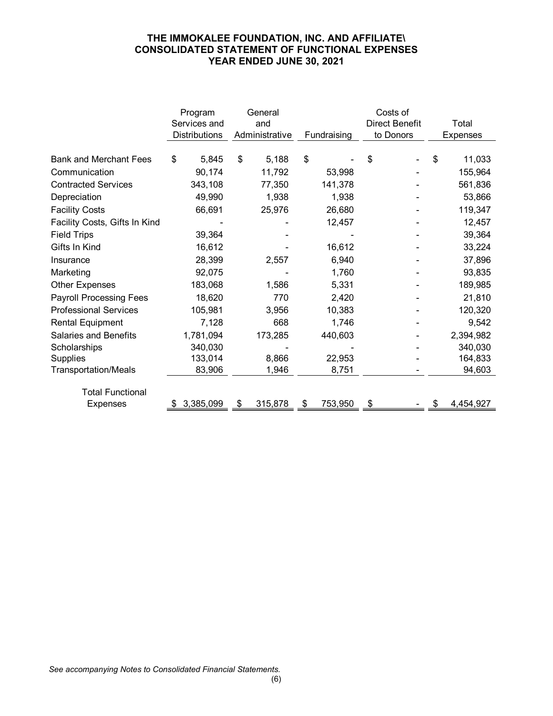# **THE IMMOKALEE FOUNDATION, INC. AND AFFILIATE\ CONSOLIDATED STATEMENT OF FUNCTIONAL EXPENSES YEAR ENDED JUNE 30, 2021**

|                                | Program<br>Services and<br><b>Distributions</b> | General<br>and<br>Administrative | Fundraising  | Costs of<br><b>Direct Benefit</b><br>to Donors |              |
|--------------------------------|-------------------------------------------------|----------------------------------|--------------|------------------------------------------------|--------------|
|                                |                                                 |                                  |              |                                                |              |
| <b>Bank and Merchant Fees</b>  | \$<br>5,845                                     | \$<br>5,188                      | \$           | \$                                             | \$<br>11,033 |
| Communication                  | 90,174                                          | 11,792                           | 53,998       |                                                | 155,964      |
| <b>Contracted Services</b>     | 343,108                                         | 77,350                           | 141,378      |                                                | 561,836      |
| Depreciation                   | 49,990                                          | 1,938                            | 1,938        |                                                | 53,866       |
| <b>Facility Costs</b>          | 66,691                                          | 25,976                           | 26,680       |                                                | 119,347      |
| Facility Costs, Gifts In Kind  |                                                 |                                  | 12,457       |                                                | 12,457       |
| <b>Field Trips</b>             | 39,364                                          |                                  |              |                                                | 39,364       |
| Gifts In Kind                  | 16,612                                          |                                  | 16,612       |                                                | 33,224       |
| Insurance                      | 28,399                                          | 2,557                            | 6,940        |                                                | 37,896       |
| Marketing                      | 92,075                                          |                                  | 1,760        |                                                | 93,835       |
| <b>Other Expenses</b>          | 183,068                                         | 1,586                            | 5,331        |                                                | 189,985      |
| <b>Payroll Processing Fees</b> | 18,620                                          | 770                              | 2,420        |                                                | 21,810       |
| <b>Professional Services</b>   | 105,981                                         | 3,956                            | 10,383       |                                                | 120,320      |
| <b>Rental Equipment</b>        | 7,128                                           | 668                              | 1,746        |                                                | 9,542        |
| <b>Salaries and Benefits</b>   | 1,781,094                                       | 173,285                          | 440,603      |                                                | 2,394,982    |
| Scholarships                   | 340,030                                         |                                  |              |                                                | 340,030      |
| <b>Supplies</b>                | 133,014                                         | 8,866                            | 22,953       |                                                | 164,833      |
| <b>Transportation/Meals</b>    | 83,906                                          | 1,946                            | 8,751        |                                                | 94,603       |
| <b>Total Functional</b>        |                                                 |                                  |              |                                                |              |
| <b>Expenses</b>                | 3,385,099                                       | 315,878                          | 753,950<br>S | \$                                             | 4,454,927    |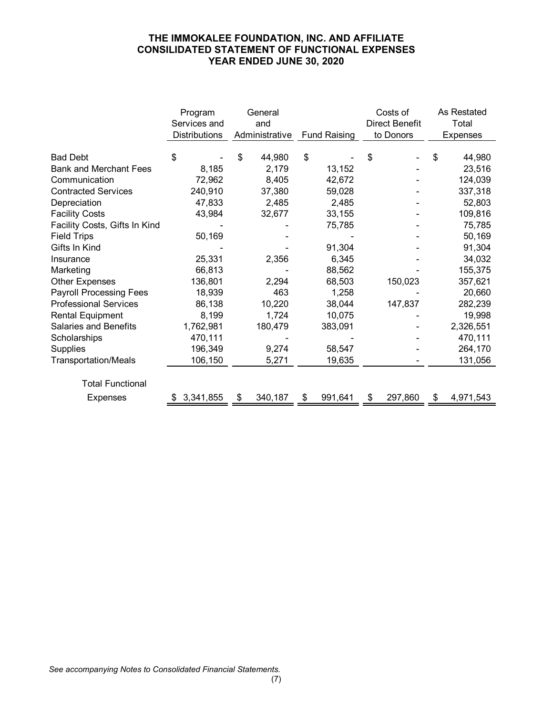# **THE IMMOKALEE FOUNDATION, INC. AND AFFILIATE CONSILIDATED STATEMENT OF FUNCTIONAL EXPENSES YEAR ENDED JUNE 30, 2020**

|                                | Program<br>Services and<br><b>Distributions</b> | General<br>and<br>Administrative | <b>Fund Raising</b> | Costs of<br><b>Direct Benefit</b><br>to Donors | As Restated<br>Total<br><b>Expenses</b> |
|--------------------------------|-------------------------------------------------|----------------------------------|---------------------|------------------------------------------------|-----------------------------------------|
|                                |                                                 |                                  |                     |                                                |                                         |
| <b>Bad Debt</b>                | \$                                              | \$<br>44,980                     | \$                  | \$                                             | \$<br>44,980                            |
| <b>Bank and Merchant Fees</b>  | 8,185                                           | 2,179                            | 13,152              |                                                | 23,516                                  |
| Communication                  | 72,962                                          | 8,405                            | 42,672              |                                                | 124,039                                 |
| <b>Contracted Services</b>     | 240,910                                         | 37,380                           | 59,028              |                                                | 337,318                                 |
| Depreciation                   | 47,833                                          | 2,485                            | 2,485               |                                                | 52,803                                  |
| <b>Facility Costs</b>          | 43,984                                          | 32,677                           | 33,155              |                                                | 109,816                                 |
| Facility Costs, Gifts In Kind  |                                                 |                                  | 75,785              |                                                | 75,785                                  |
| <b>Field Trips</b>             | 50,169                                          |                                  |                     |                                                | 50,169                                  |
| Gifts In Kind                  |                                                 |                                  | 91,304              |                                                | 91,304                                  |
| Insurance                      | 25,331                                          | 2,356                            | 6,345               |                                                | 34,032                                  |
| Marketing                      | 66,813                                          |                                  | 88,562              |                                                | 155,375                                 |
| <b>Other Expenses</b>          | 136,801                                         | 2,294                            | 68,503              | 150,023                                        | 357,621                                 |
| <b>Payroll Processing Fees</b> | 18,939                                          | 463                              | 1,258               |                                                | 20,660                                  |
| <b>Professional Services</b>   | 86,138                                          | 10,220                           | 38,044              | 147,837                                        | 282,239                                 |
| <b>Rental Equipment</b>        | 8,199                                           | 1,724                            | 10,075              |                                                | 19,998                                  |
| <b>Salaries and Benefits</b>   | 1,762,981                                       | 180,479                          | 383,091             |                                                | 2,326,551                               |
| Scholarships                   | 470,111                                         |                                  |                     |                                                | 470,111                                 |
| <b>Supplies</b>                | 196,349                                         | 9,274                            | 58,547              |                                                | 264,170                                 |
| <b>Transportation/Meals</b>    | 106,150                                         | 5,271                            | 19,635              |                                                | 131,056                                 |
| <b>Total Functional</b>        |                                                 |                                  |                     |                                                |                                         |
| <b>Expenses</b>                | 3,341,855<br>S.                                 | 340,187<br>\$                    | 991,641<br>\$       | 297,860<br>\$                                  | 4,971,543<br>\$                         |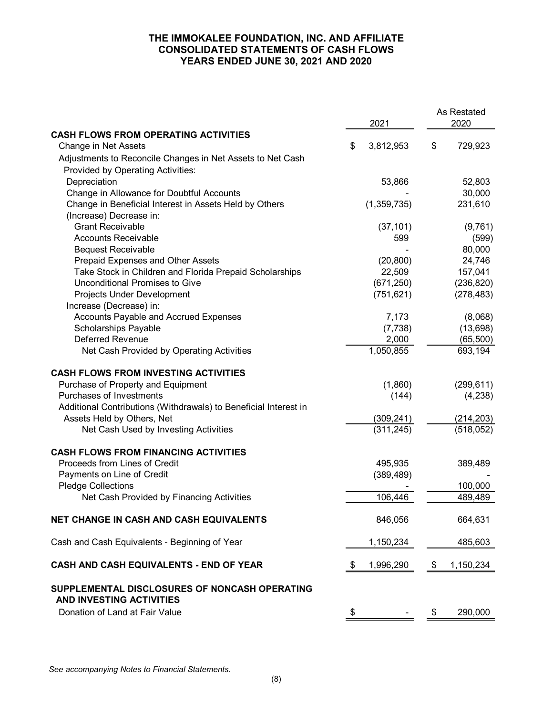# **THE IMMOKALEE FOUNDATION, INC. AND AFFILIATE CONSOLIDATED STATEMENTS OF CASH FLOWS YEARS ENDED JUNE 30, 2021 AND 2020**

|                                                                           |                 | As Restated     |
|---------------------------------------------------------------------------|-----------------|-----------------|
|                                                                           | 2021            | 2020            |
| <b>CASH FLOWS FROM OPERATING ACTIVITIES</b>                               |                 |                 |
| Change in Net Assets                                                      | \$<br>3,812,953 | \$<br>729,923   |
| Adjustments to Reconcile Changes in Net Assets to Net Cash                |                 |                 |
| Provided by Operating Activities:                                         |                 |                 |
| Depreciation                                                              | 53,866          | 52,803          |
| Change in Allowance for Doubtful Accounts                                 |                 | 30,000          |
| Change in Beneficial Interest in Assets Held by Others                    | (1, 359, 735)   | 231,610         |
| (Increase) Decrease in:                                                   |                 |                 |
| <b>Grant Receivable</b>                                                   | (37, 101)       | (9,761)         |
| <b>Accounts Receivable</b>                                                | 599             | (599)           |
| <b>Bequest Receivable</b>                                                 |                 | 80,000          |
| Prepaid Expenses and Other Assets                                         | (20, 800)       | 24,746          |
| Take Stock in Children and Florida Prepaid Scholarships                   | 22,509          | 157,041         |
| Unconditional Promises to Give                                            | (671, 250)      | (236, 820)      |
| Projects Under Development                                                | (751, 621)      | (278, 483)      |
| Increase (Decrease) in:                                                   |                 |                 |
| Accounts Payable and Accrued Expenses                                     | 7,173           | (8,068)         |
| <b>Scholarships Payable</b>                                               | (7, 738)        | (13,698)        |
| Deferred Revenue                                                          | 2,000           | (65, 500)       |
| Net Cash Provided by Operating Activities                                 | 1,050,855       | 693,194         |
| <b>CASH FLOWS FROM INVESTING ACTIVITIES</b>                               |                 |                 |
| Purchase of Property and Equipment                                        | (1,860)         | (299, 611)      |
| Purchases of Investments                                                  | (144)           | (4,238)         |
| Additional Contributions (Withdrawals) to Beneficial Interest in          |                 |                 |
| Assets Held by Others, Net                                                | (309, 241)      | (214, 203)      |
| Net Cash Used by Investing Activities                                     | (311, 245)      | (518, 052)      |
| <b>CASH FLOWS FROM FINANCING ACTIVITIES</b>                               |                 |                 |
| Proceeds from Lines of Credit                                             | 495,935         | 389,489         |
| Payments on Line of Credit                                                | (389, 489)      |                 |
| <b>Pledge Collections</b>                                                 |                 | 100,000         |
| Net Cash Provided by Financing Activities                                 | 106,446         | 489,489         |
| NET CHANGE IN CASH AND CASH EQUIVALENTS                                   | 846,056         | 664,631         |
| Cash and Cash Equivalents - Beginning of Year                             | 1,150,234       | 485,603         |
| CASH AND CASH EQUIVALENTS - END OF YEAR                                   | 1,996,290       | 1,150,234<br>\$ |
| SUPPLEMENTAL DISCLOSURES OF NONCASH OPERATING<br>AND INVESTING ACTIVITIES |                 |                 |
| Donation of Land at Fair Value                                            | \$              | 290,000<br>\$   |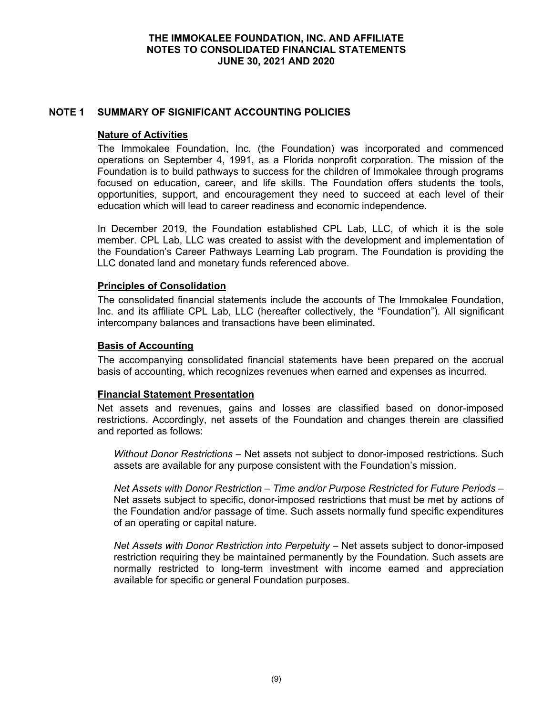## **NOTE 1 SUMMARY OF SIGNIFICANT ACCOUNTING POLICIES**

#### **Nature of Activities**

The Immokalee Foundation, Inc. (the Foundation) was incorporated and commenced operations on September 4, 1991, as a Florida nonprofit corporation. The mission of the Foundation is to build pathways to success for the children of Immokalee through programs focused on education, career, and life skills. The Foundation offers students the tools, opportunities, support, and encouragement they need to succeed at each level of their education which will lead to career readiness and economic independence.

In December 2019, the Foundation established CPL Lab, LLC, of which it is the sole member. CPL Lab, LLC was created to assist with the development and implementation of the Foundation's Career Pathways Learning Lab program. The Foundation is providing the LLC donated land and monetary funds referenced above.

## **Principles of Consolidation**

The consolidated financial statements include the accounts of The Immokalee Foundation, Inc. and its affiliate CPL Lab, LLC (hereafter collectively, the "Foundation"). All significant intercompany balances and transactions have been eliminated.

#### **Basis of Accounting**

The accompanying consolidated financial statements have been prepared on the accrual basis of accounting, which recognizes revenues when earned and expenses as incurred.

#### **Financial Statement Presentation**

Net assets and revenues, gains and losses are classified based on donor-imposed restrictions. Accordingly, net assets of the Foundation and changes therein are classified and reported as follows:

*Without Donor Restrictions* – Net assets not subject to donor-imposed restrictions. Such assets are available for any purpose consistent with the Foundation's mission.

*Net Assets with Donor Restriction – Time and/or Purpose Restricted for Future Periods* – Net assets subject to specific, donor-imposed restrictions that must be met by actions of the Foundation and/or passage of time. Such assets normally fund specific expenditures of an operating or capital nature.

*Net Assets with Donor Restriction into Perpetuity* – Net assets subject to donor-imposed restriction requiring they be maintained permanently by the Foundation. Such assets are normally restricted to long-term investment with income earned and appreciation available for specific or general Foundation purposes.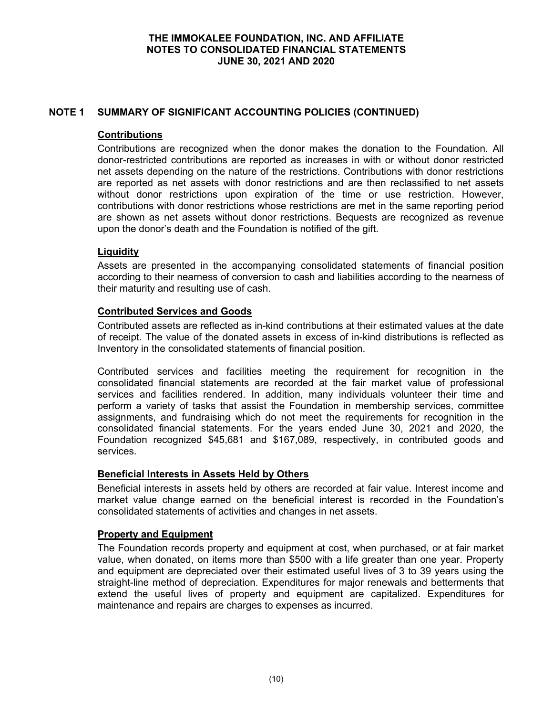# **NOTE 1 SUMMARY OF SIGNIFICANT ACCOUNTING POLICIES (CONTINUED)**

## **Contributions**

Contributions are recognized when the donor makes the donation to the Foundation. All donor-restricted contributions are reported as increases in with or without donor restricted net assets depending on the nature of the restrictions. Contributions with donor restrictions are reported as net assets with donor restrictions and are then reclassified to net assets without donor restrictions upon expiration of the time or use restriction. However, contributions with donor restrictions whose restrictions are met in the same reporting period are shown as net assets without donor restrictions. Bequests are recognized as revenue upon the donor's death and the Foundation is notified of the gift.

# **Liquidity**

Assets are presented in the accompanying consolidated statements of financial position according to their nearness of conversion to cash and liabilities according to the nearness of their maturity and resulting use of cash.

# **Contributed Services and Goods**

Contributed assets are reflected as in-kind contributions at their estimated values at the date of receipt. The value of the donated assets in excess of in-kind distributions is reflected as Inventory in the consolidated statements of financial position.

Contributed services and facilities meeting the requirement for recognition in the consolidated financial statements are recorded at the fair market value of professional services and facilities rendered. In addition, many individuals volunteer their time and perform a variety of tasks that assist the Foundation in membership services, committee assignments, and fundraising which do not meet the requirements for recognition in the consolidated financial statements. For the years ended June 30, 2021 and 2020, the Foundation recognized \$45,681 and \$167,089, respectively, in contributed goods and services.

# **Beneficial Interests in Assets Held by Others**

Beneficial interests in assets held by others are recorded at fair value. Interest income and market value change earned on the beneficial interest is recorded in the Foundation's consolidated statements of activities and changes in net assets.

# **Property and Equipment**

The Foundation records property and equipment at cost, when purchased, or at fair market value, when donated, on items more than \$500 with a life greater than one year. Property and equipment are depreciated over their estimated useful lives of 3 to 39 years using the straight-line method of depreciation. Expenditures for major renewals and betterments that extend the useful lives of property and equipment are capitalized. Expenditures for maintenance and repairs are charges to expenses as incurred.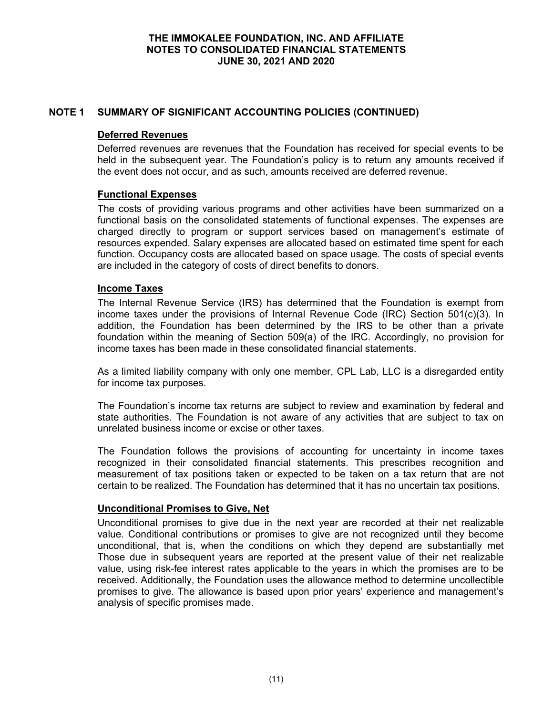## **NOTE 1 SUMMARY OF SIGNIFICANT ACCOUNTING POLICIES (CONTINUED)**

#### **Deferred Revenues**

Deferred revenues are revenues that the Foundation has received for special events to be held in the subsequent year. The Foundation's policy is to return any amounts received if the event does not occur, and as such, amounts received are deferred revenue.

#### **Functional Expenses**

The costs of providing various programs and other activities have been summarized on a functional basis on the consolidated statements of functional expenses. The expenses are charged directly to program or support services based on management's estimate of resources expended. Salary expenses are allocated based on estimated time spent for each function. Occupancy costs are allocated based on space usage. The costs of special events are included in the category of costs of direct benefits to donors.

#### **Income Taxes**

The Internal Revenue Service (IRS) has determined that the Foundation is exempt from income taxes under the provisions of Internal Revenue Code (IRC) Section 501(c)(3). In addition, the Foundation has been determined by the IRS to be other than a private foundation within the meaning of Section 509(a) of the IRC. Accordingly, no provision for income taxes has been made in these consolidated financial statements.

As a limited liability company with only one member, CPL Lab, LLC is a disregarded entity for income tax purposes.

The Foundation's income tax returns are subject to review and examination by federal and state authorities. The Foundation is not aware of any activities that are subject to tax on unrelated business income or excise or other taxes.

The Foundation follows the provisions of accounting for uncertainty in income taxes recognized in their consolidated financial statements. This prescribes recognition and measurement of tax positions taken or expected to be taken on a tax return that are not certain to be realized. The Foundation has determined that it has no uncertain tax positions.

#### **Unconditional Promises to Give, Net**

Unconditional promises to give due in the next year are recorded at their net realizable value. Conditional contributions or promises to give are not recognized until they become unconditional, that is, when the conditions on which they depend are substantially met Those due in subsequent years are reported at the present value of their net realizable value, using risk-fee interest rates applicable to the years in which the promises are to be received. Additionally, the Foundation uses the allowance method to determine uncollectible promises to give. The allowance is based upon prior years' experience and management's analysis of specific promises made.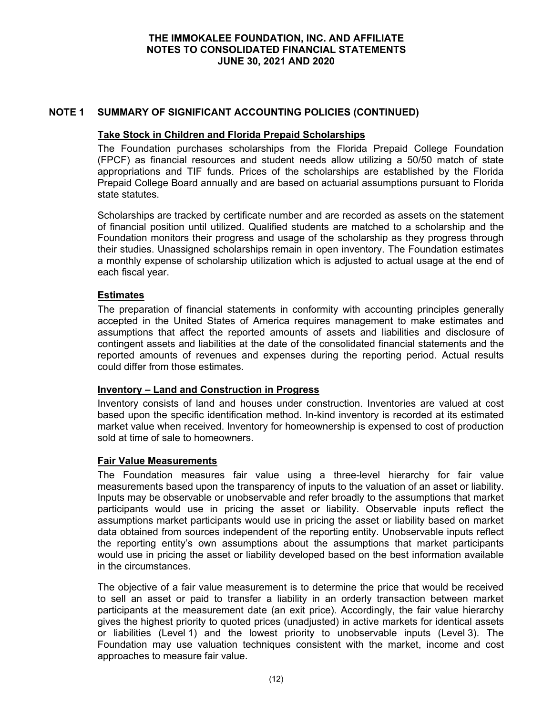## **NOTE 1 SUMMARY OF SIGNIFICANT ACCOUNTING POLICIES (CONTINUED)**

#### **Take Stock in Children and Florida Prepaid Scholarships**

The Foundation purchases scholarships from the Florida Prepaid College Foundation (FPCF) as financial resources and student needs allow utilizing a 50/50 match of state appropriations and TIF funds. Prices of the scholarships are established by the Florida Prepaid College Board annually and are based on actuarial assumptions pursuant to Florida state statutes.

Scholarships are tracked by certificate number and are recorded as assets on the statement of financial position until utilized. Qualified students are matched to a scholarship and the Foundation monitors their progress and usage of the scholarship as they progress through their studies. Unassigned scholarships remain in open inventory. The Foundation estimates a monthly expense of scholarship utilization which is adjusted to actual usage at the end of each fiscal year.

#### **Estimates**

The preparation of financial statements in conformity with accounting principles generally accepted in the United States of America requires management to make estimates and assumptions that affect the reported amounts of assets and liabilities and disclosure of contingent assets and liabilities at the date of the consolidated financial statements and the reported amounts of revenues and expenses during the reporting period. Actual results could differ from those estimates.

#### **Inventory – Land and Construction in Progress**

Inventory consists of land and houses under construction. Inventories are valued at cost based upon the specific identification method. In-kind inventory is recorded at its estimated market value when received. Inventory for homeownership is expensed to cost of production sold at time of sale to homeowners.

#### **Fair Value Measurements**

The Foundation measures fair value using a three-level hierarchy for fair value measurements based upon the transparency of inputs to the valuation of an asset or liability. Inputs may be observable or unobservable and refer broadly to the assumptions that market participants would use in pricing the asset or liability. Observable inputs reflect the assumptions market participants would use in pricing the asset or liability based on market data obtained from sources independent of the reporting entity. Unobservable inputs reflect the reporting entity's own assumptions about the assumptions that market participants would use in pricing the asset or liability developed based on the best information available in the circumstances.

The objective of a fair value measurement is to determine the price that would be received to sell an asset or paid to transfer a liability in an orderly transaction between market participants at the measurement date (an exit price). Accordingly, the fair value hierarchy gives the highest priority to quoted prices (unadjusted) in active markets for identical assets or liabilities (Level 1) and the lowest priority to unobservable inputs (Level 3). The Foundation may use valuation techniques consistent with the market, income and cost approaches to measure fair value.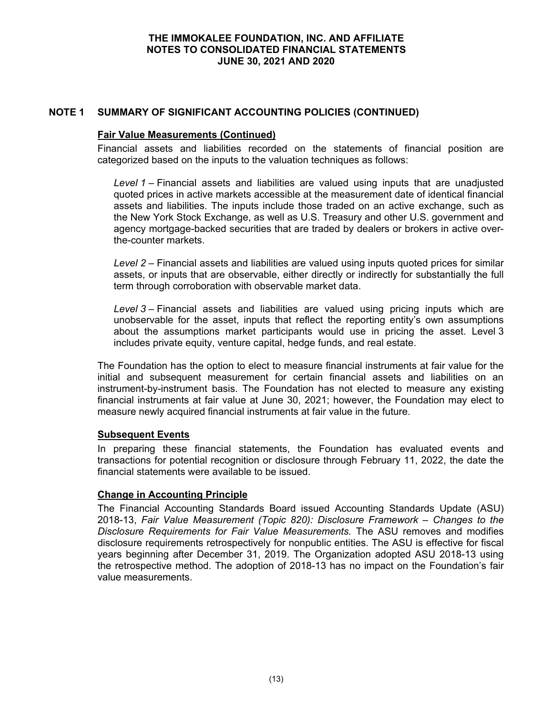## **NOTE 1 SUMMARY OF SIGNIFICANT ACCOUNTING POLICIES (CONTINUED)**

## **Fair Value Measurements (Continued)**

Financial assets and liabilities recorded on the statements of financial position are categorized based on the inputs to the valuation techniques as follows:

*Level 1* – Financial assets and liabilities are valued using inputs that are unadjusted quoted prices in active markets accessible at the measurement date of identical financial assets and liabilities. The inputs include those traded on an active exchange, such as the New York Stock Exchange, as well as U.S. Treasury and other U.S. government and agency mortgage-backed securities that are traded by dealers or brokers in active overthe-counter markets.

*Level 2* – Financial assets and liabilities are valued using inputs quoted prices for similar assets, or inputs that are observable, either directly or indirectly for substantially the full term through corroboration with observable market data.

*Level 3* – Financial assets and liabilities are valued using pricing inputs which are unobservable for the asset, inputs that reflect the reporting entity's own assumptions about the assumptions market participants would use in pricing the asset. Level 3 includes private equity, venture capital, hedge funds, and real estate.

The Foundation has the option to elect to measure financial instruments at fair value for the initial and subsequent measurement for certain financial assets and liabilities on an instrument-by-instrument basis. The Foundation has not elected to measure any existing financial instruments at fair value at June 30, 2021; however, the Foundation may elect to measure newly acquired financial instruments at fair value in the future.

# **Subsequent Events**

In preparing these financial statements, the Foundation has evaluated events and transactions for potential recognition or disclosure through February 11, 2022, the date the financial statements were available to be issued.

# **Change in Accounting Principle**

The Financial Accounting Standards Board issued Accounting Standards Update (ASU) 2018-13, *Fair Value Measurement (Topic 820): Disclosure Framework – Changes to the Disclosure Requirements for Fair Value Measurements.* The ASU removes and modifies disclosure requirements retrospectively for nonpublic entities. The ASU is effective for fiscal years beginning after December 31, 2019. The Organization adopted ASU 2018-13 using the retrospective method. The adoption of 2018-13 has no impact on the Foundation's fair value measurements.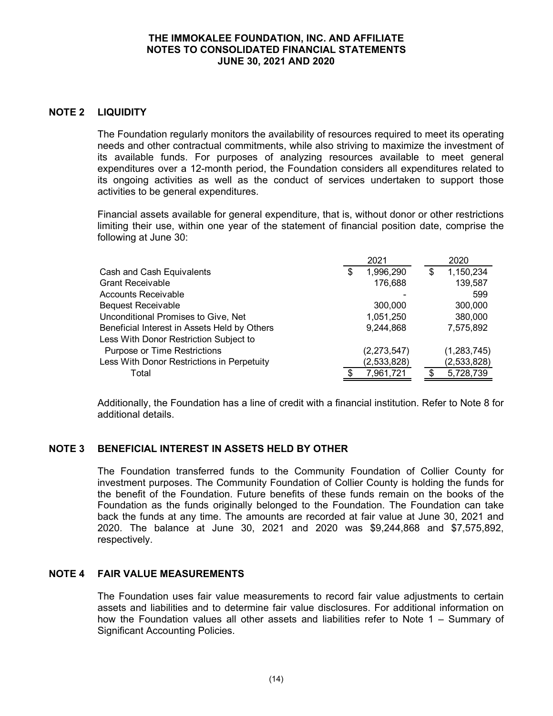## **NOTE 2 LIQUIDITY**

The Foundation regularly monitors the availability of resources required to meet its operating needs and other contractual commitments, while also striving to maximize the investment of its available funds. For purposes of analyzing resources available to meet general expenditures over a 12-month period, the Foundation considers all expenditures related to its ongoing activities as well as the conduct of services undertaken to support those activities to be general expenditures.

Financial assets available for general expenditure, that is, without donor or other restrictions limiting their use, within one year of the statement of financial position date, comprise the following at June 30:

|                                              |   | 2021          |   | 2020          |
|----------------------------------------------|---|---------------|---|---------------|
| Cash and Cash Equivalents                    | S | 1,996,290     | S | 1,150,234     |
| <b>Grant Receivable</b>                      |   | 176,688       |   | 139,587       |
| Accounts Receivable                          |   |               |   | 599           |
| <b>Bequest Receivable</b>                    |   | 300,000       |   | 300,000       |
| Unconditional Promises to Give, Net          |   | 1,051,250     |   | 380,000       |
| Beneficial Interest in Assets Held by Others |   | 9,244,868     |   | 7,575,892     |
| Less With Donor Restriction Subject to       |   |               |   |               |
| <b>Purpose or Time Restrictions</b>          |   | (2, 273, 547) |   | (1, 283, 745) |
| Less With Donor Restrictions in Perpetuity   |   | (2,533,828)   |   | (2,533,828)   |
| Total                                        |   | 7,961,721     |   | 5,728,739     |

Additionally, the Foundation has a line of credit with a financial institution. Refer to Note 8 for additional details.

## **NOTE 3 BENEFICIAL INTEREST IN ASSETS HELD BY OTHER**

The Foundation transferred funds to the Community Foundation of Collier County for investment purposes. The Community Foundation of Collier County is holding the funds for the benefit of the Foundation. Future benefits of these funds remain on the books of the Foundation as the funds originally belonged to the Foundation. The Foundation can take back the funds at any time. The amounts are recorded at fair value at June 30, 2021 and 2020. The balance at June 30, 2021 and 2020 was \$9,244,868 and \$7,575,892, respectively.

#### **NOTE 4 FAIR VALUE MEASUREMENTS**

The Foundation uses fair value measurements to record fair value adjustments to certain assets and liabilities and to determine fair value disclosures. For additional information on how the Foundation values all other assets and liabilities refer to Note 1 – Summary of Significant Accounting Policies.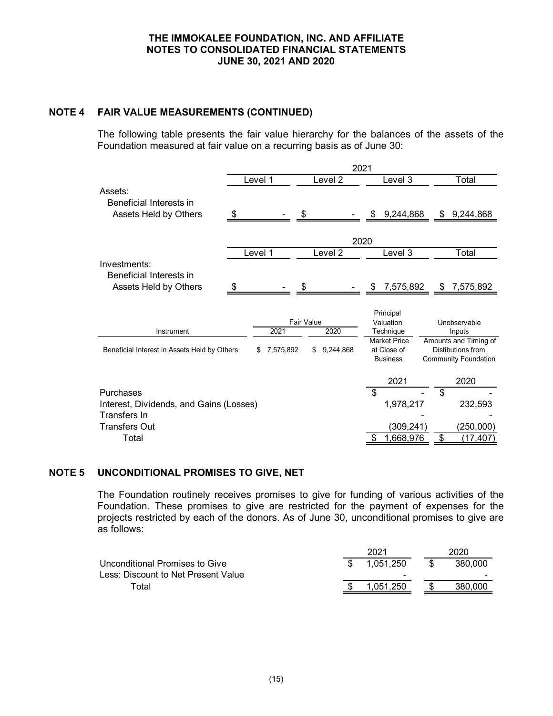# **NOTE 4 FAIR VALUE MEASUREMENTS (CONTINUED)**

The following table presents the fair value hierarchy for the balances of the assets of the Foundation measured at fair value on a recurring basis as of June 30:

|                                                                  | 2021 |         |                   |                |                                     |           |                                                       |                        |  |                                                                           |
|------------------------------------------------------------------|------|---------|-------------------|----------------|-------------------------------------|-----------|-------------------------------------------------------|------------------------|--|---------------------------------------------------------------------------|
|                                                                  |      | Level 1 | Level 2           |                | Level 3                             |           |                                                       | Total                  |  |                                                                           |
| Assets:<br>Beneficial Interests in<br>Assets Held by Others      | \$   |         |                   |                | 9,244,868                           |           | \$                                                    | 9,244,868              |  |                                                                           |
|                                                                  | 2020 |         |                   |                |                                     |           |                                                       |                        |  |                                                                           |
|                                                                  |      | Level 1 | Level 2           |                | Level 3                             |           |                                                       | Total                  |  |                                                                           |
| Investments:<br>Beneficial Interests in<br>Assets Held by Others |      |         |                   |                | 7,575,892                           |           |                                                       | \$7,575,892            |  |                                                                           |
| Instrument                                                       |      | 2021    | <b>Fair Value</b> | 2020           | Principal<br>Valuation<br>Technique |           |                                                       | Unobservable<br>Inputs |  |                                                                           |
| Beneficial Interest in Assets Held by Others                     |      |         |                   | 7,575,892<br>S | \$                                  | 9,244,868 | <b>Market Price</b><br>at Close of<br><b>Business</b> |                        |  | Amounts and Timing of<br>Distibutions from<br><b>Community Foundation</b> |
| Purchases                                                        |      |         |                   |                | 2021<br>\$                          |           | \$                                                    | 2020                   |  |                                                                           |
| Interest, Dividends, and Gains (Losses)                          |      |         |                   |                | 1,978,217                           |           |                                                       | 232,593                |  |                                                                           |
| Transfers In                                                     |      |         |                   |                |                                     |           |                                                       |                        |  |                                                                           |
| <b>Transfers Out</b>                                             |      |         |                   |                | (309, 241)                          |           |                                                       | (250,000)              |  |                                                                           |
| Total                                                            |      |         |                   |                | \$<br>,668,976                      |           | \$                                                    | (17,407)               |  |                                                                           |

# **NOTE 5 UNCONDITIONAL PROMISES TO GIVE, NET**

The Foundation routinely receives promises to give for funding of various activities of the Foundation. These promises to give are restricted for the payment of expenses for the projects restricted by each of the donors. As of June 30, unconditional promises to give are as follows:

|                                     | 2021                     |  | 2020    |
|-------------------------------------|--------------------------|--|---------|
| Unconditional Promises to Give      | 1.051.250                |  | 380.000 |
| Less: Discount to Net Present Value | $\overline{\phantom{0}}$ |  | -       |
| Total                               | 1.051.250                |  | 380,000 |
|                                     |                          |  |         |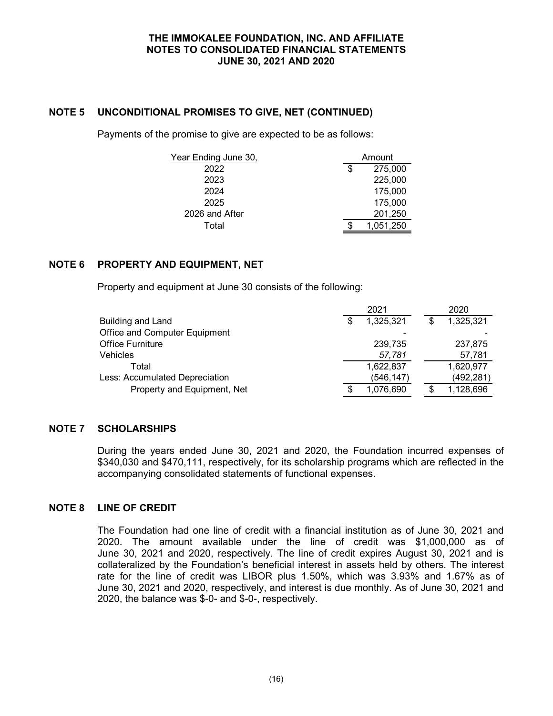## **NOTE 5 UNCONDITIONAL PROMISES TO GIVE, NET (CONTINUED)**

Payments of the promise to give are expected to be as follows:

| Year Ending June 30, | Amount       |           |  |  |
|----------------------|--------------|-----------|--|--|
| 2022                 | 275,000<br>S |           |  |  |
| 2023                 |              | 225,000   |  |  |
| 2024                 |              | 175,000   |  |  |
| 2025                 |              | 175,000   |  |  |
| 2026 and After       |              | 201,250   |  |  |
| Total                |              | 1,051,250 |  |  |

## **NOTE 6 PROPERTY AND EQUIPMENT, NET**

Property and equipment at June 30 consists of the following:

|                                | 2021      |  | 2020      |
|--------------------------------|-----------|--|-----------|
| Building and Land              | 1,325,321 |  | 1,325,321 |
| Office and Computer Equipment  |           |  |           |
| <b>Office Furniture</b>        | 239,735   |  | 237,875   |
| Vehicles                       | 57,781    |  | 57,781    |
| Total                          | 1,622,837 |  | 1,620,977 |
| Less: Accumulated Depreciation | (546,147) |  | (492,281) |
| Property and Equipment, Net    | 1,076,690 |  | 1,128,696 |

# **NOTE 7 SCHOLARSHIPS**

During the years ended June 30, 2021 and 2020, the Foundation incurred expenses of \$340,030 and \$470,111, respectively, for its scholarship programs which are reflected in the accompanying consolidated statements of functional expenses.

## **NOTE 8 LINE OF CREDIT**

The Foundation had one line of credit with a financial institution as of June 30, 2021 and 2020. The amount available under the line of credit was \$1,000,000 as of June 30, 2021 and 2020, respectively. The line of credit expires August 30, 2021 and is collateralized by the Foundation's beneficial interest in assets held by others. The interest rate for the line of credit was LIBOR plus 1.50%, which was 3.93% and 1.67% as of June 30, 2021 and 2020, respectively, and interest is due monthly. As of June 30, 2021 and 2020, the balance was \$-0- and \$-0-, respectively.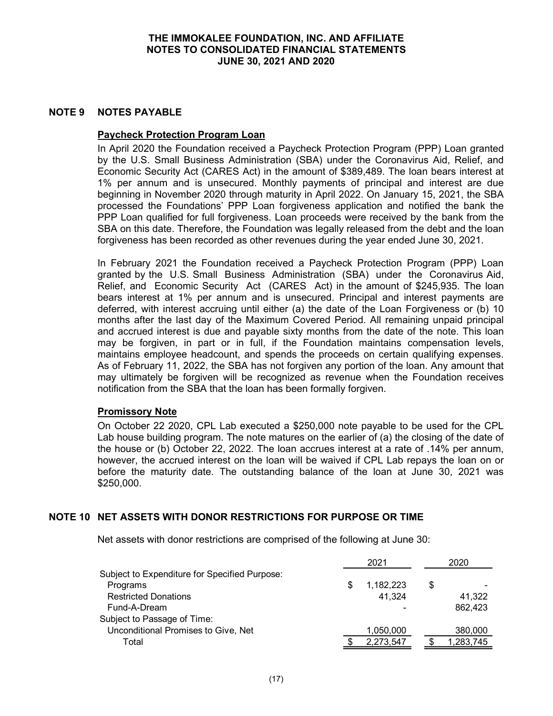#### **NOTE 9 NOTES PAYABLE**

#### **Paycheck Protection Program Loan**

In April 2020 the Foundation received a Paycheck Protection Program (PPP) Loan granted by the U.S. Small Business Administration (SBA) under the Coronavirus Aid, Relief, and Economic Security Act (CARES Act) in the amount of \$389,489. The loan bears interest at 1% per annum and is unsecured. Monthly payments of principal and interest are due beginning in November 2020 through maturity in April 2022. On January 15, 2021, the SBA processed the Foundations' PPP Loan forgiveness application and notified the bank the PPP Loan qualified for full forgiveness. Loan proceeds were received by the bank from the SBA on this date. Therefore, the Foundation was legally released from the debt and the loan forgiveness has been recorded as other revenues during the year ended June 30, 2021.

In February 2021 the Foundation received a Paycheck Protection Program (PPP) Loan granted by the U.S. Small Business Administration (SBA) under the Coronavirus Aid, Relief, and Economic Security Act (CARES Act) in the amount of \$245,935. The loan bears interest at 1% per annum and is unsecured. Principal and interest payments are deferred, with interest accruing until either (a) the date of the Loan Forgiveness or (b) 10 months after the last day of the Maximum Covered Period. All remaining unpaid principal and accrued interest is due and payable sixty months from the date of the note. This loan may be forgiven, in part or in full, if the Foundation maintains compensation levels, maintains employee headcount, and spends the proceeds on certain qualifying expenses. As of February 11, 2022, the SBA has not forgiven any portion of the loan. Any amount that may ultimately be forgiven will be recognized as revenue when the Foundation receives notification from the SBA that the loan has been formally forgiven.

#### **Promissory Note**

On October 22 2020, CPL Lab executed a \$250,000 note payable to be used for the CPL Lab house building program. The note matures on the earlier of (a) the closing of the date of the house or (b) October 22, 2022. The loan accrues interest at a rate of .14% per annum, however, the accrued interest on the loan will be waived if CPL Lab repays the loan on or before the maturity date. The outstanding balance of the loan at June 30, 2021 was \$250,000.

# **NOTE 10 NET ASSETS WITH DONOR RESTRICTIONS FOR PURPOSE OR TIME**

Net assets with donor restrictions are comprised of the following at June 30:

|                                               | 2021 |           | 2020 |           |
|-----------------------------------------------|------|-----------|------|-----------|
| Subject to Expenditure for Specified Purpose: |      |           |      |           |
| Programs                                      | S    | 1,182,223 | \$   |           |
| <b>Restricted Donations</b>                   |      | 41.324    |      | 41.322    |
| Fund-A-Dream                                  |      |           |      | 862,423   |
| Subject to Passage of Time:                   |      |           |      |           |
| Unconditional Promises to Give, Net           |      | 1,050,000 |      | 380,000   |
| Total                                         |      | 2,273,547 | S    | 1,283,745 |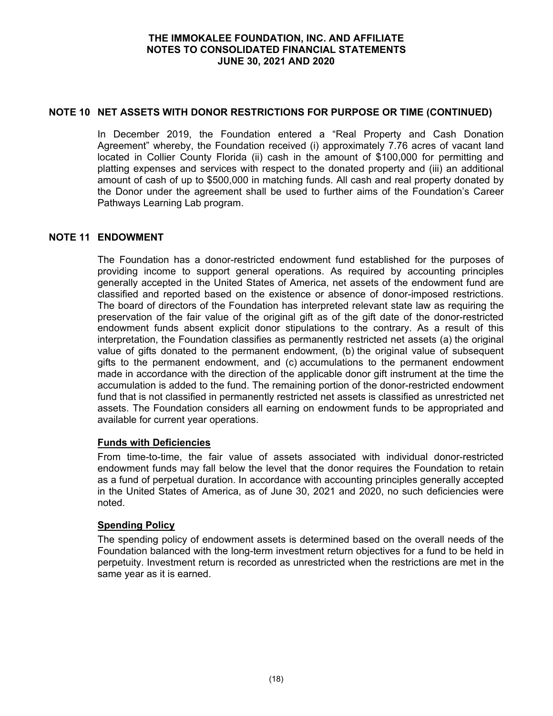## **NOTE 10 NET ASSETS WITH DONOR RESTRICTIONS FOR PURPOSE OR TIME (CONTINUED)**

In December 2019, the Foundation entered a "Real Property and Cash Donation Agreement" whereby, the Foundation received (i) approximately 7.76 acres of vacant land located in Collier County Florida (ii) cash in the amount of \$100,000 for permitting and platting expenses and services with respect to the donated property and (iii) an additional amount of cash of up to \$500,000 in matching funds. All cash and real property donated by the Donor under the agreement shall be used to further aims of the Foundation's Career Pathways Learning Lab program.

## **NOTE 11 ENDOWMENT**

The Foundation has a donor-restricted endowment fund established for the purposes of providing income to support general operations. As required by accounting principles generally accepted in the United States of America, net assets of the endowment fund are classified and reported based on the existence or absence of donor-imposed restrictions. The board of directors of the Foundation has interpreted relevant state law as requiring the preservation of the fair value of the original gift as of the gift date of the donor-restricted endowment funds absent explicit donor stipulations to the contrary. As a result of this interpretation, the Foundation classifies as permanently restricted net assets (a) the original value of gifts donated to the permanent endowment, (b) the original value of subsequent gifts to the permanent endowment, and (c) accumulations to the permanent endowment made in accordance with the direction of the applicable donor gift instrument at the time the accumulation is added to the fund. The remaining portion of the donor-restricted endowment fund that is not classified in permanently restricted net assets is classified as unrestricted net assets. The Foundation considers all earning on endowment funds to be appropriated and available for current year operations.

# **Funds with Deficiencies**

From time-to-time, the fair value of assets associated with individual donor-restricted endowment funds may fall below the level that the donor requires the Foundation to retain as a fund of perpetual duration. In accordance with accounting principles generally accepted in the United States of America, as of June 30, 2021 and 2020, no such deficiencies were noted.

## **Spending Policy**

The spending policy of endowment assets is determined based on the overall needs of the Foundation balanced with the long-term investment return objectives for a fund to be held in perpetuity. Investment return is recorded as unrestricted when the restrictions are met in the same year as it is earned.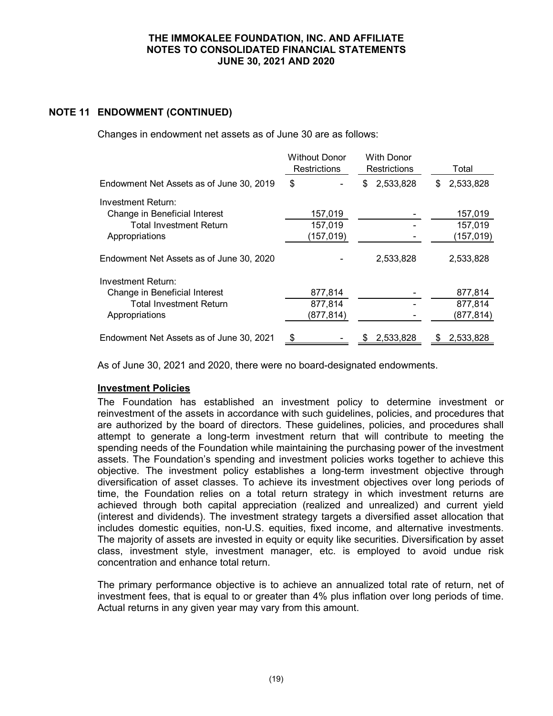# **NOTE 11 ENDOWMENT (CONTINUED)**

Changes in endowment net assets as of June 30 are as follows:

|                                          | <b>Without Donor</b><br>Restrictions | <b>With Donor</b><br>Restrictions | Total           |  |
|------------------------------------------|--------------------------------------|-----------------------------------|-----------------|--|
| Endowment Net Assets as of June 30, 2019 | \$                                   | 2,533,828<br>S                    | 2,533,828<br>\$ |  |
| Investment Return:                       |                                      |                                   |                 |  |
| Change in Beneficial Interest            | 157,019                              |                                   | 157,019         |  |
| <b>Total Investment Return</b>           | 157,019                              |                                   | 157,019         |  |
| Appropriations                           | (157,019)                            |                                   | (157, 019)      |  |
| Endowment Net Assets as of June 30, 2020 |                                      | 2,533,828                         | 2,533,828       |  |
| Investment Return:                       |                                      |                                   |                 |  |
| Change in Beneficial Interest            | 877,814                              |                                   | 877,814         |  |
| <b>Total Investment Return</b>           | 877,814                              |                                   | 877,814         |  |
| Appropriations                           | (877,814)                            |                                   | (877, 814)      |  |
| Endowment Net Assets as of June 30, 2021 | \$                                   | 2,533,828                         | 2,533,828<br>æ. |  |

As of June 30, 2021 and 2020, there were no board-designated endowments.

#### **Investment Policies**

The Foundation has established an investment policy to determine investment or reinvestment of the assets in accordance with such guidelines, policies, and procedures that are authorized by the board of directors. These guidelines, policies, and procedures shall attempt to generate a long-term investment return that will contribute to meeting the spending needs of the Foundation while maintaining the purchasing power of the investment assets. The Foundation's spending and investment policies works together to achieve this objective. The investment policy establishes a long-term investment objective through diversification of asset classes. To achieve its investment objectives over long periods of time, the Foundation relies on a total return strategy in which investment returns are achieved through both capital appreciation (realized and unrealized) and current yield (interest and dividends). The investment strategy targets a diversified asset allocation that includes domestic equities, non-U.S. equities, fixed income, and alternative investments. The majority of assets are invested in equity or equity like securities. Diversification by asset class, investment style, investment manager, etc. is employed to avoid undue risk concentration and enhance total return.

The primary performance objective is to achieve an annualized total rate of return, net of investment fees, that is equal to or greater than 4% plus inflation over long periods of time. Actual returns in any given year may vary from this amount.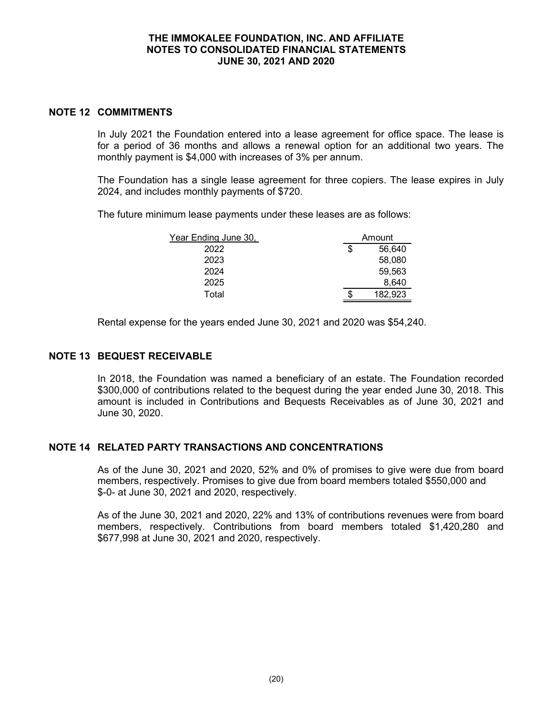#### **NOTE 12 COMMITMENTS**

In July 2021 the Foundation entered into a lease agreement for office space. The lease is for a period of 36 months and allows a renewal option for an additional two years. The monthly payment is \$4,000 with increases of 3% per annum.

The Foundation has a single lease agreement for three copiers. The lease expires in July 2024, and includes monthly payments of \$720.

The future minimum lease payments under these leases are as follows:

| Year Ending June 30, | Amount       |  |  |
|----------------------|--------------|--|--|
| 2022                 | \$<br>56,640 |  |  |
| 2023                 | 58,080       |  |  |
| 2024                 | 59,563       |  |  |
| 2025                 | 8.640        |  |  |
| Total                | 182,923      |  |  |

Rental expense for the years ended June 30, 2021 and 2020 was \$54,240.

#### **NOTE 13 BEQUEST RECEIVABLE**

In 2018, the Foundation was named a beneficiary of an estate. The Foundation recorded \$300,000 of contributions related to the bequest during the year ended June 30, 2018. This amount is included in Contributions and Bequests Receivables as of June 30, 2021 and June 30, 2020.

## **NOTE 14 RELATED PARTY TRANSACTIONS AND CONCENTRATIONS**

As of the June 30, 2021 and 2020, 52% and 0% of promises to give were due from board members, respectively. Promises to give due from board members totaled \$550,000 and \$-0- at June 30, 2021 and 2020, respectively.

As of the June 30, 2021 and 2020, 22% and 13% of contributions revenues were from board members, respectively. Contributions from board members totaled \$1,420,280 and \$677,998 at June 30, 2021 and 2020, respectively.